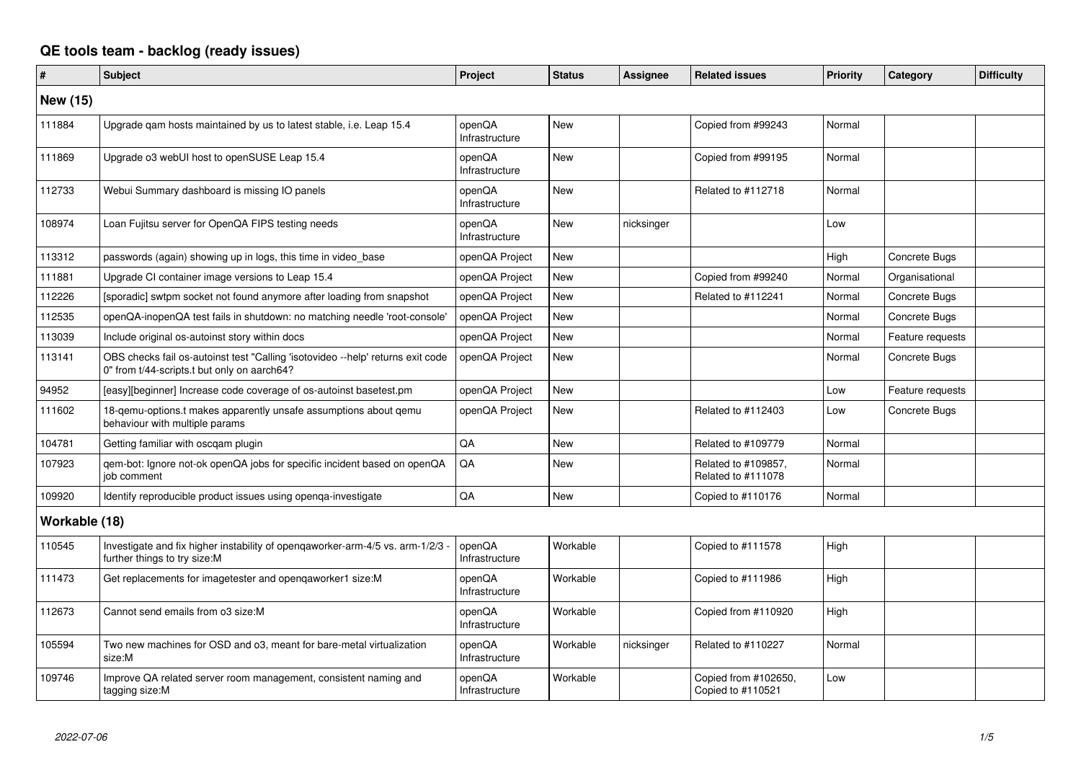## **QE tools team - backlog (ready issues)**

| #             | <b>Subject</b>                                                                                                                 | Project                  | <b>Status</b> | Assignee   | <b>Related issues</b>                     | <b>Priority</b> | Category         | <b>Difficulty</b> |
|---------------|--------------------------------------------------------------------------------------------------------------------------------|--------------------------|---------------|------------|-------------------------------------------|-----------------|------------------|-------------------|
| New (15)      |                                                                                                                                |                          |               |            |                                           |                 |                  |                   |
| 111884        | Upgrade qam hosts maintained by us to latest stable, i.e. Leap 15.4                                                            | openQA<br>Infrastructure | New           |            | Copied from #99243                        | Normal          |                  |                   |
| 111869        | Upgrade o3 webUI host to openSUSE Leap 15.4                                                                                    | openQA<br>Infrastructure | <b>New</b>    |            | Copied from #99195                        | Normal          |                  |                   |
| 112733        | Webui Summary dashboard is missing IO panels                                                                                   | openQA<br>Infrastructure | <b>New</b>    |            | Related to #112718                        | Normal          |                  |                   |
| 108974        | Loan Fujitsu server for OpenQA FIPS testing needs                                                                              | openQA<br>Infrastructure | <b>New</b>    | nicksinger |                                           | Low             |                  |                   |
| 113312        | passwords (again) showing up in logs, this time in video_base                                                                  | openQA Project           | <b>New</b>    |            |                                           | High            | Concrete Bugs    |                   |
| 111881        | Upgrade CI container image versions to Leap 15.4                                                                               | openQA Project           | New           |            | Copied from #99240                        | Normal          | Organisational   |                   |
| 112226        | [sporadic] swtpm socket not found anymore after loading from snapshot                                                          | openQA Project           | New           |            | Related to #112241                        | Normal          | Concrete Bugs    |                   |
| 112535        | openQA-inopenQA test fails in shutdown: no matching needle 'root-console'                                                      | openQA Project           | New           |            |                                           | Normal          | Concrete Bugs    |                   |
| 113039        | Include original os-autoinst story within docs                                                                                 | openQA Project           | New           |            |                                           | Normal          | Feature requests |                   |
| 113141        | OBS checks fail os-autoinst test "Calling 'isotovideo --help' returns exit code<br>0" from t/44-scripts.t but only on aarch64? | openQA Project           | <b>New</b>    |            |                                           | Normal          | Concrete Bugs    |                   |
| 94952         | [easy][beginner] Increase code coverage of os-autoinst basetest.pm                                                             | openQA Project           | New           |            |                                           | Low             | Feature requests |                   |
| 111602        | 18-gemu-options.t makes apparently unsafe assumptions about gemu<br>behaviour with multiple params                             | openQA Project           | New           |            | Related to #112403                        | Low             | Concrete Bugs    |                   |
| 104781        | Getting familiar with oscgam plugin                                                                                            | QA                       | <b>New</b>    |            | Related to #109779                        | Normal          |                  |                   |
| 107923        | gem-bot: Ignore not-ok openQA jobs for specific incident based on openQA<br>iob comment                                        | QA                       | New           |            | Related to #109857.<br>Related to #111078 | Normal          |                  |                   |
| 109920        | Identify reproducible product issues using openga-investigate                                                                  | QA                       | <b>New</b>    |            | Copied to #110176                         | Normal          |                  |                   |
| Workable (18) |                                                                                                                                |                          |               |            |                                           |                 |                  |                   |
| 110545        | Investigate and fix higher instability of openqaworker-arm-4/5 vs. arm-1/2/3<br>further things to try size:M                   | openQA<br>Infrastructure | Workable      |            | Copied to #111578                         | High            |                  |                   |
| 111473        | Get replacements for imagetester and opengaworker1 size:M                                                                      | openQA<br>Infrastructure | Workable      |            | Copied to #111986                         | High            |                  |                   |
| 112673        | Cannot send emails from o3 size:M                                                                                              | openQA<br>Infrastructure | Workable      |            | Copied from #110920                       | High            |                  |                   |
| 105594        | Two new machines for OSD and o3, meant for bare-metal virtualization<br>size:M                                                 | openQA<br>Infrastructure | Workable      | nicksinger | Related to #110227                        | Normal          |                  |                   |
| 109746        | Improve QA related server room management, consistent naming and<br>tagging size:M                                             | openQA<br>Infrastructure | Workable      |            | Copied from #102650,<br>Copied to #110521 | Low             |                  |                   |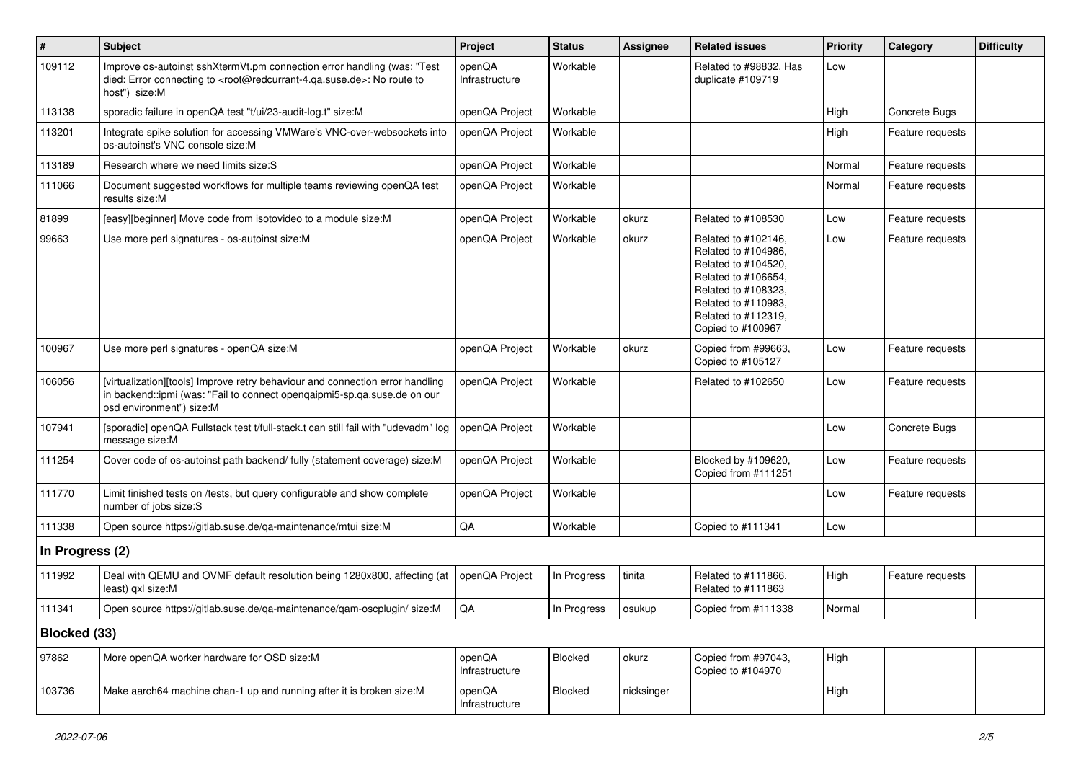| $\sharp$        | <b>Subject</b>                                                                                                                                                                                    | Project                  | <b>Status</b> | <b>Assignee</b> | <b>Related issues</b>                                                                                                                                                              | <b>Priority</b> | Category         | <b>Difficulty</b> |
|-----------------|---------------------------------------------------------------------------------------------------------------------------------------------------------------------------------------------------|--------------------------|---------------|-----------------|------------------------------------------------------------------------------------------------------------------------------------------------------------------------------------|-----------------|------------------|-------------------|
| 109112          | Improve os-autoinst sshXtermVt.pm connection error handling (was: "Test<br>died: Error connecting to <root@redcurrant-4.ga.suse.de>: No route to<br/>host") size:M</root@redcurrant-4.ga.suse.de> | openQA<br>Infrastructure | Workable      |                 | Related to #98832, Has<br>duplicate #109719                                                                                                                                        | Low             |                  |                   |
| 113138          | sporadic failure in openQA test "t/ui/23-audit-log.t" size:M                                                                                                                                      | openQA Project           | Workable      |                 |                                                                                                                                                                                    | High            | Concrete Bugs    |                   |
| 113201          | Integrate spike solution for accessing VMWare's VNC-over-websockets into<br>os-autoinst's VNC console size:M                                                                                      | openQA Project           | Workable      |                 |                                                                                                                                                                                    | High            | Feature requests |                   |
| 113189          | Research where we need limits size:S                                                                                                                                                              | openQA Project           | Workable      |                 |                                                                                                                                                                                    | Normal          | Feature requests |                   |
| 111066          | Document suggested workflows for multiple teams reviewing openQA test<br>results size:M                                                                                                           | openQA Project           | Workable      |                 |                                                                                                                                                                                    | Normal          | Feature requests |                   |
| 81899           | [easy][beginner] Move code from isotovideo to a module size:M                                                                                                                                     | openQA Project           | Workable      | okurz           | Related to #108530                                                                                                                                                                 | Low             | Feature requests |                   |
| 99663           | Use more perl signatures - os-autoinst size:M                                                                                                                                                     | openQA Project           | Workable      | okurz           | Related to #102146,<br>Related to #104986,<br>Related to #104520,<br>Related to #106654,<br>Related to #108323,<br>Related to #110983,<br>Related to #112319,<br>Copied to #100967 | Low             | Feature requests |                   |
| 100967          | Use more perl signatures - openQA size:M                                                                                                                                                          | openQA Project           | Workable      | okurz           | Copied from #99663,<br>Copied to #105127                                                                                                                                           | Low             | Feature requests |                   |
| 106056          | [virtualization][tools] Improve retry behaviour and connection error handling<br>in backend::ipmi (was: "Fail to connect opengaipmi5-sp.ga.suse.de on our<br>osd environment") size:M             | openQA Project           | Workable      |                 | Related to #102650                                                                                                                                                                 | Low             | Feature requests |                   |
| 107941          | [sporadic] openQA Fullstack test t/full-stack.t can still fail with "udevadm" log<br>message size:M                                                                                               | openQA Project           | Workable      |                 |                                                                                                                                                                                    | Low             | Concrete Bugs    |                   |
| 111254          | Cover code of os-autoinst path backend/ fully (statement coverage) size:M                                                                                                                         | openQA Project           | Workable      |                 | Blocked by #109620,<br>Copied from #111251                                                                                                                                         | Low             | Feature requests |                   |
| 111770          | Limit finished tests on /tests, but query configurable and show complete<br>number of jobs size:S                                                                                                 | openQA Project           | Workable      |                 |                                                                                                                                                                                    | Low             | Feature requests |                   |
| 111338          | Open source https://gitlab.suse.de/qa-maintenance/mtui size:M                                                                                                                                     | QA                       | Workable      |                 | Copied to #111341                                                                                                                                                                  | Low             |                  |                   |
| In Progress (2) |                                                                                                                                                                                                   |                          |               |                 |                                                                                                                                                                                    |                 |                  |                   |
| 111992          | Deal with QEMU and OVMF default resolution being 1280x800, affecting (at<br>least) qxl size:M                                                                                                     | openQA Project           | In Progress   | tinita          | Related to #111866.<br>Related to #111863                                                                                                                                          | High            | Feature requests |                   |
| 111341          | Open source https://gitlab.suse.de/qa-maintenance/qam-oscplugin/ size:M                                                                                                                           | QA                       | In Progress   | osukup          | Copied from #111338                                                                                                                                                                | Normal          |                  |                   |
| Blocked (33)    |                                                                                                                                                                                                   |                          |               |                 |                                                                                                                                                                                    |                 |                  |                   |
| 97862           | More openQA worker hardware for OSD size:M                                                                                                                                                        | openQA<br>Infrastructure | Blocked       | okurz           | Copied from #97043,<br>Copied to #104970                                                                                                                                           | High            |                  |                   |
| 103736          | Make aarch64 machine chan-1 up and running after it is broken size:M                                                                                                                              | openQA<br>Infrastructure | Blocked       | nicksinger      |                                                                                                                                                                                    | High            |                  |                   |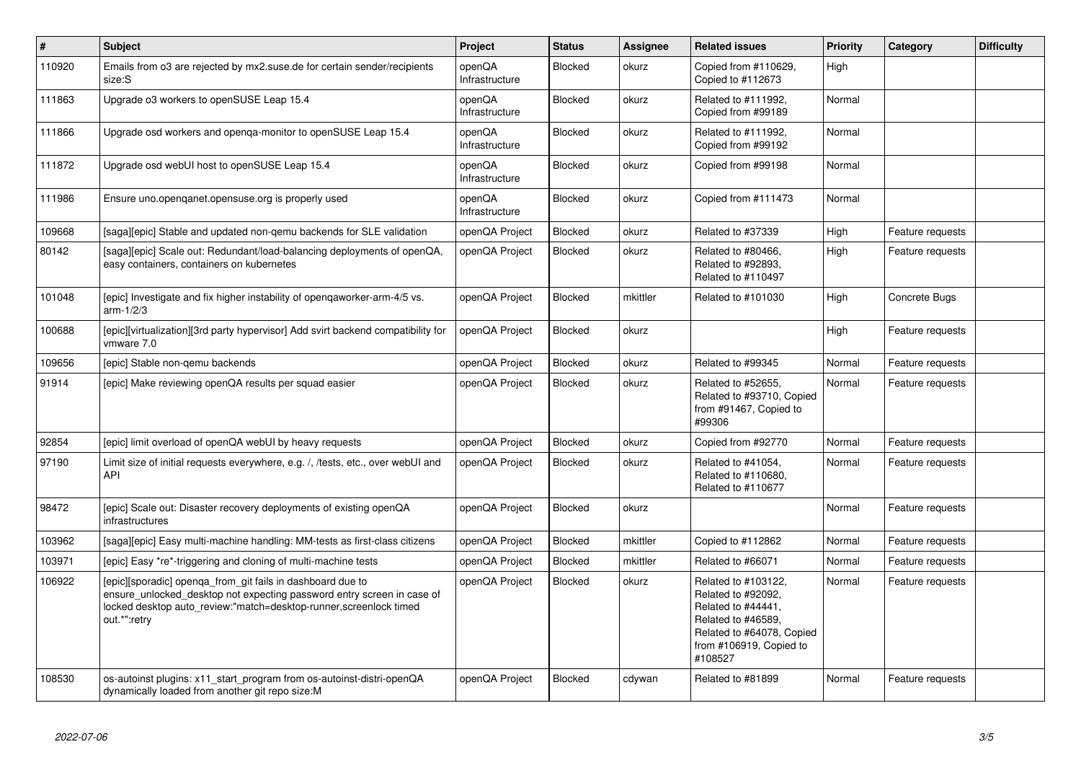| $\vert$ # | <b>Subject</b>                                                                                                                                                                                                            | Project                  | <b>Status</b>  | Assignee | <b>Related issues</b>                                                                                                                                    | <b>Priority</b> | Category         | <b>Difficulty</b> |
|-----------|---------------------------------------------------------------------------------------------------------------------------------------------------------------------------------------------------------------------------|--------------------------|----------------|----------|----------------------------------------------------------------------------------------------------------------------------------------------------------|-----------------|------------------|-------------------|
| 110920    | Emails from o3 are rejected by mx2.suse.de for certain sender/recipients<br>size:S                                                                                                                                        | openQA<br>Infrastructure | <b>Blocked</b> | okurz    | Copied from #110629,<br>Copied to #112673                                                                                                                | High            |                  |                   |
| 111863    | Upgrade o3 workers to openSUSE Leap 15.4                                                                                                                                                                                  | openQA<br>Infrastructure | <b>Blocked</b> | okurz    | Related to #111992,<br>Copied from #99189                                                                                                                | Normal          |                  |                   |
| 111866    | Upgrade osd workers and openga-monitor to openSUSE Leap 15.4                                                                                                                                                              | openQA<br>Infrastructure | <b>Blocked</b> | okurz    | Related to #111992,<br>Copied from #99192                                                                                                                | Normal          |                  |                   |
| 111872    | Upgrade osd webUI host to openSUSE Leap 15.4                                                                                                                                                                              | openQA<br>Infrastructure | Blocked        | okurz    | Copied from #99198                                                                                                                                       | Normal          |                  |                   |
| 111986    | Ensure uno openganet opensuse org is properly used                                                                                                                                                                        | openQA<br>Infrastructure | Blocked        | okurz    | Copied from #111473                                                                                                                                      | Normal          |                  |                   |
| 109668    | [saga][epic] Stable and updated non-qemu backends for SLE validation                                                                                                                                                      | openQA Project           | <b>Blocked</b> | okurz    | Related to #37339                                                                                                                                        | High            | Feature requests |                   |
| 80142     | [saga][epic] Scale out: Redundant/load-balancing deployments of openQA,<br>easy containers, containers on kubernetes                                                                                                      | openQA Project           | Blocked        | okurz    | Related to #80466,<br>Related to #92893,<br>Related to #110497                                                                                           | High            | Feature requests |                   |
| 101048    | [epic] Investigate and fix higher instability of opengaworker-arm-4/5 vs.<br>$arm-1/2/3$                                                                                                                                  | openQA Project           | <b>Blocked</b> | mkittler | Related to #101030                                                                                                                                       | High            | Concrete Bugs    |                   |
| 100688    | [epic][virtualization][3rd party hypervisor] Add svirt backend compatibility for<br>vmware 7.0                                                                                                                            | openQA Project           | <b>Blocked</b> | okurz    |                                                                                                                                                          | High            | Feature requests |                   |
| 109656    | [epic] Stable non-gemu backends                                                                                                                                                                                           | openQA Project           | <b>Blocked</b> | okurz    | Related to #99345                                                                                                                                        | Normal          | Feature requests |                   |
| 91914     | [epic] Make reviewing openQA results per squad easier                                                                                                                                                                     | openQA Project           | <b>Blocked</b> | okurz    | Related to #52655,<br>Related to #93710, Copied<br>from #91467, Copied to<br>#99306                                                                      | Normal          | Feature requests |                   |
| 92854     | [epic] limit overload of openQA webUI by heavy requests                                                                                                                                                                   | openQA Project           | Blocked        | okurz    | Copied from #92770                                                                                                                                       | Normal          | Feature requests |                   |
| 97190     | Limit size of initial requests everywhere, e.g. /, /tests, etc., over webUI and<br>API                                                                                                                                    | openQA Project           | <b>Blocked</b> | okurz    | Related to #41054,<br>Related to #110680,<br>Related to #110677                                                                                          | Normal          | Feature requests |                   |
| 98472     | [epic] Scale out: Disaster recovery deployments of existing openQA<br>infrastructures                                                                                                                                     | openQA Project           | <b>Blocked</b> | okurz    |                                                                                                                                                          | Normal          | Feature requests |                   |
| 103962    | [saga][epic] Easy multi-machine handling: MM-tests as first-class citizens                                                                                                                                                | openQA Project           | <b>Blocked</b> | mkittler | Copied to #112862                                                                                                                                        | Normal          | Feature requests |                   |
| 103971    | [epic] Easy *re*-triggering and cloning of multi-machine tests                                                                                                                                                            | openQA Project           | <b>Blocked</b> | mkittler | Related to #66071                                                                                                                                        | Normal          | Feature requests |                   |
| 106922    | [epic][sporadic] openga from git fails in dashboard due to<br>ensure_unlocked_desktop not expecting password entry screen in case of<br>locked desktop auto_review:"match=desktop-runner,screenlock timed<br>out.*":retry | openQA Project           | <b>Blocked</b> | okurz    | Related to #103122,<br>Related to #92092,<br>Related to #44441,<br>Related to #46589,<br>Related to #64078, Copied<br>from #106919, Copied to<br>#108527 | Normal          | Feature requests |                   |
| 108530    | os-autoinst plugins: x11 start program from os-autoinst-distri-openQA<br>dynamically loaded from another git repo size:M                                                                                                  | openQA Project           | <b>Blocked</b> | cdywan   | Related to #81899                                                                                                                                        | Normal          | Feature requests |                   |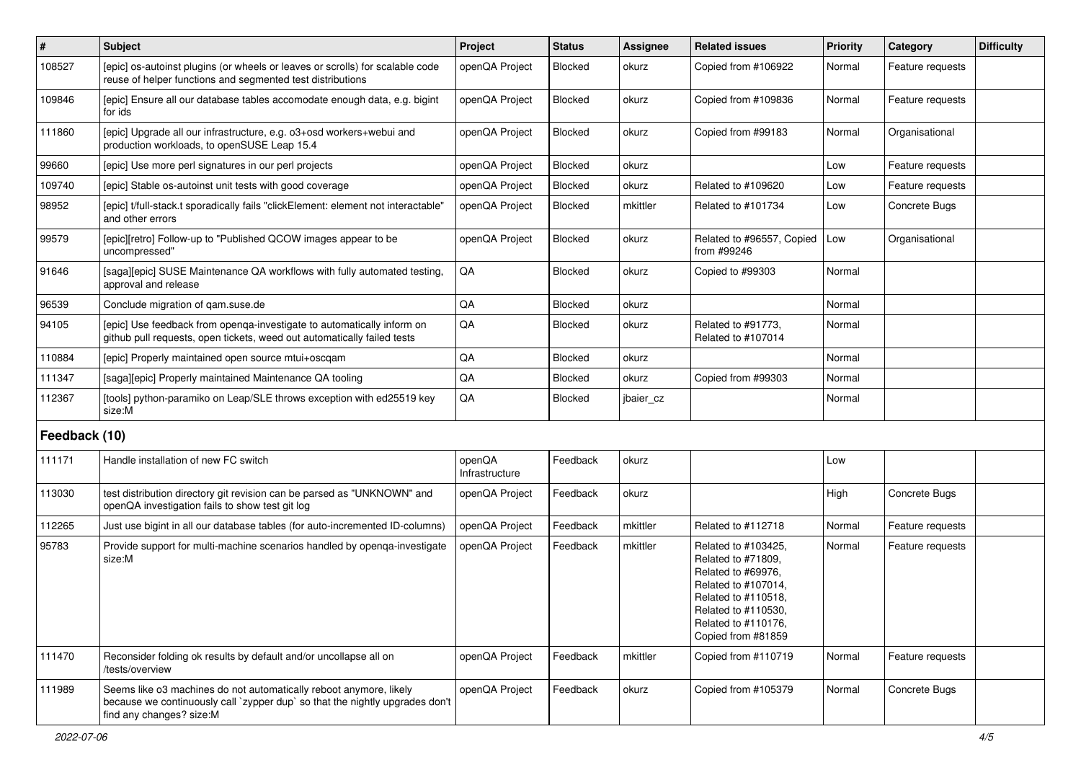| $\sharp$      | <b>Subject</b>                                                                                                                                                                 | Project                  | <b>Status</b>  | <b>Assignee</b> | <b>Related issues</b>                                                                                                                                                             | <b>Priority</b> | Category         | <b>Difficulty</b> |
|---------------|--------------------------------------------------------------------------------------------------------------------------------------------------------------------------------|--------------------------|----------------|-----------------|-----------------------------------------------------------------------------------------------------------------------------------------------------------------------------------|-----------------|------------------|-------------------|
| 108527        | [epic] os-autoinst plugins (or wheels or leaves or scrolls) for scalable code<br>reuse of helper functions and segmented test distributions                                    | openQA Project           | <b>Blocked</b> | okurz           | Copied from #106922                                                                                                                                                               | Normal          | Feature requests |                   |
| 109846        | [epic] Ensure all our database tables accomodate enough data, e.g. bigint<br>for ids                                                                                           | openQA Project           | Blocked        | okurz           | Copied from #109836                                                                                                                                                               | Normal          | Feature requests |                   |
| 111860        | [epic] Upgrade all our infrastructure, e.g. o3+osd workers+webui and<br>production workloads, to openSUSE Leap 15.4                                                            | openQA Project           | Blocked        | okurz           | Copied from #99183                                                                                                                                                                | Normal          | Organisational   |                   |
| 99660         | [epic] Use more perl signatures in our perl projects                                                                                                                           | openQA Project           | Blocked        | okurz           |                                                                                                                                                                                   | Low             | Feature requests |                   |
| 109740        | [epic] Stable os-autoinst unit tests with good coverage                                                                                                                        | openQA Project           | Blocked        | okurz           | Related to #109620                                                                                                                                                                | Low             | Feature requests |                   |
| 98952         | [epic] t/full-stack.t sporadically fails "clickElement: element not interactable"<br>and other errors                                                                          | openQA Project           | Blocked        | mkittler        | Related to #101734                                                                                                                                                                | Low             | Concrete Bugs    |                   |
| 99579         | [epic][retro] Follow-up to "Published QCOW images appear to be<br>uncompressed"                                                                                                | openQA Project           | Blocked        | okurz           | Related to #96557, Copied<br>from #99246                                                                                                                                          | Low             | Organisational   |                   |
| 91646         | [saga][epic] SUSE Maintenance QA workflows with fully automated testing,<br>approval and release                                                                               | QA                       | Blocked        | okurz           | Copied to #99303                                                                                                                                                                  | Normal          |                  |                   |
| 96539         | Conclude migration of qam.suse.de                                                                                                                                              | QA                       | <b>Blocked</b> | okurz           |                                                                                                                                                                                   | Normal          |                  |                   |
| 94105         | [epic] Use feedback from openga-investigate to automatically inform on<br>github pull requests, open tickets, weed out automatically failed tests                              | QA                       | <b>Blocked</b> | okurz           | Related to #91773,<br>Related to #107014                                                                                                                                          | Normal          |                  |                   |
| 110884        | [epic] Properly maintained open source mtui+oscqam                                                                                                                             | QA                       | <b>Blocked</b> | okurz           |                                                                                                                                                                                   | Normal          |                  |                   |
| 111347        | [saga][epic] Properly maintained Maintenance QA tooling                                                                                                                        | QA                       | <b>Blocked</b> | okurz           | Copied from #99303                                                                                                                                                                | Normal          |                  |                   |
| 112367        | [tools] python-paramiko on Leap/SLE throws exception with ed25519 key<br>size:M                                                                                                | QA                       | <b>Blocked</b> | jbaier_cz       |                                                                                                                                                                                   | Normal          |                  |                   |
| Feedback (10) |                                                                                                                                                                                |                          |                |                 |                                                                                                                                                                                   |                 |                  |                   |
| 111171        | Handle installation of new FC switch                                                                                                                                           | openQA<br>Infrastructure | Feedback       | okurz           |                                                                                                                                                                                   | Low             |                  |                   |
| 113030        | test distribution directory git revision can be parsed as "UNKNOWN" and<br>openQA investigation fails to show test git log                                                     | openQA Project           | Feedback       | okurz           |                                                                                                                                                                                   | High            | Concrete Bugs    |                   |
| 112265        | Just use bigint in all our database tables (for auto-incremented ID-columns)                                                                                                   | openQA Project           | Feedback       | mkittler        | Related to #112718                                                                                                                                                                | Normal          | Feature requests |                   |
| 95783         | Provide support for multi-machine scenarios handled by openqa-investigate<br>size:M                                                                                            | openQA Project           | Feedback       | mkittler        | Related to #103425,<br>Related to #71809,<br>Related to #69976,<br>Related to #107014,<br>Related to #110518,<br>Related to #110530,<br>Related to #110176,<br>Copied from #81859 | Normal          | Feature requests |                   |
| 111470        | Reconsider folding ok results by default and/or uncollapse all on<br>/tests/overview                                                                                           | openQA Project           | Feedback       | mkittler        | Copied from #110719                                                                                                                                                               | Normal          | Feature requests |                   |
| 111989        | Seems like o3 machines do not automatically reboot anymore, likely<br>because we continuously call `zypper dup` so that the nightly upgrades don't<br>find any changes? size:M | openQA Project           | Feedback       | okurz           | Copied from #105379                                                                                                                                                               | Normal          | Concrete Bugs    |                   |